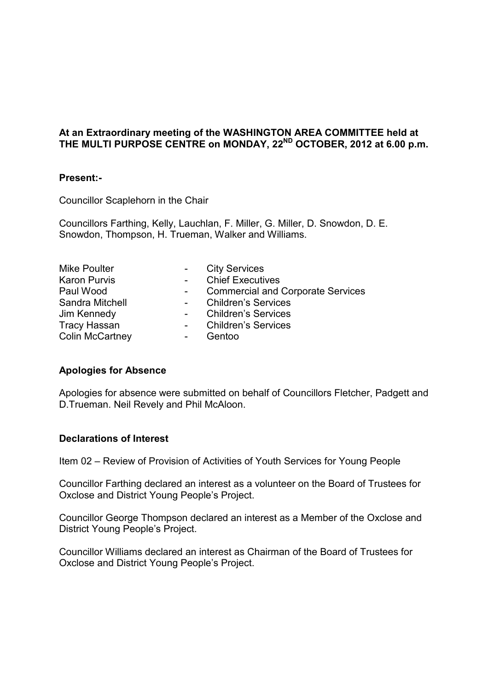## **At an Extraordinary meeting of the WASHINGTON AREA COMMITTEE held at THE MULTI PURPOSE CENTRE on MONDAY, 22ND OCTOBER, 2012 at 6.00 p.m.**

## **Present:-**

Councillor Scaplehorn in the Chair

Councillors Farthing, Kelly, Lauchlan, F. Miller, G. Miller, D. Snowdon, D. E. Snowdon, Thompson, H. Trueman, Walker and Williams.

| <b>Mike Poulter</b>    | $\sim$ 10 $\pm$     | <b>City Services</b>                     |
|------------------------|---------------------|------------------------------------------|
| <b>Karon Purvis</b>    | $\sim$ 10 $\pm$     | <b>Chief Executives</b>                  |
| Paul Wood              |                     | <b>Commercial and Corporate Services</b> |
| Sandra Mitchell        | $\sim 100$          | <b>Children's Services</b>               |
| Jim Kennedy            | $\omega_{\rm{max}}$ | <b>Children's Services</b>               |
| <b>Tracy Hassan</b>    |                     | - Children's Services                    |
| <b>Colin McCartney</b> |                     | Gentoo                                   |

## **Apologies for Absence**

Apologies for absence were submitted on behalf of Councillors Fletcher, Padgett and D.Trueman. Neil Revely and Phil McAloon.

## **Declarations of Interest**

Item 02 – Review of Provision of Activities of Youth Services for Young People

Councillor Farthing declared an interest as a volunteer on the Board of Trustees for Oxclose and District Young People's Project.

Councillor George Thompson declared an interest as a Member of the Oxclose and District Young People's Project.

Councillor Williams declared an interest as Chairman of the Board of Trustees for Oxclose and District Young People's Project.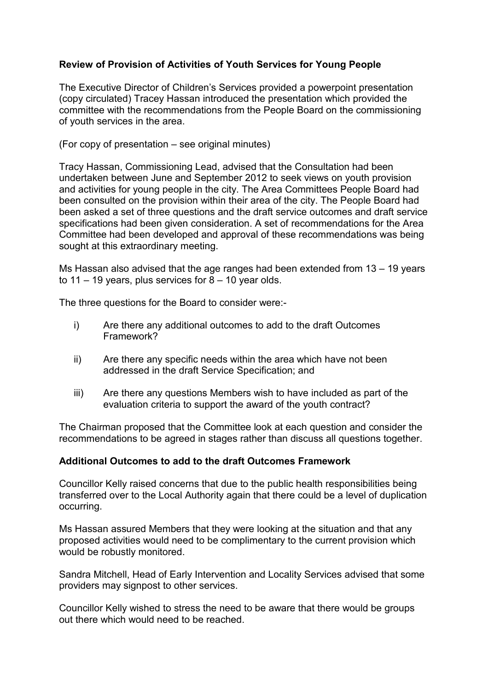# **Review of Provision of Activities of Youth Services for Young People**

The Executive Director of Children's Services provided a powerpoint presentation (copy circulated) Tracey Hassan introduced the presentation which provided the committee with the recommendations from the People Board on the commissioning of youth services in the area.

(For copy of presentation – see original minutes)

Tracy Hassan, Commissioning Lead, advised that the Consultation had been undertaken between June and September 2012 to seek views on youth provision and activities for young people in the city. The Area Committees People Board had been consulted on the provision within their area of the city. The People Board had been asked a set of three questions and the draft service outcomes and draft service specifications had been given consideration. A set of recommendations for the Area Committee had been developed and approval of these recommendations was being sought at this extraordinary meeting.

Ms Hassan also advised that the age ranges had been extended from 13 – 19 years to 11 – 19 years, plus services for  $8 - 10$  year olds.

The three questions for the Board to consider were:-

- i) Are there any additional outcomes to add to the draft Outcomes Framework?
- ii) Are there any specific needs within the area which have not been addressed in the draft Service Specification; and
- iii) Are there any questions Members wish to have included as part of the evaluation criteria to support the award of the youth contract?

The Chairman proposed that the Committee look at each question and consider the recommendations to be agreed in stages rather than discuss all questions together.

## **Additional Outcomes to add to the draft Outcomes Framework**

Councillor Kelly raised concerns that due to the public health responsibilities being transferred over to the Local Authority again that there could be a level of duplication occurring.

Ms Hassan assured Members that they were looking at the situation and that any proposed activities would need to be complimentary to the current provision which would be robustly monitored.

Sandra Mitchell, Head of Early Intervention and Locality Services advised that some providers may signpost to other services.

Councillor Kelly wished to stress the need to be aware that there would be groups out there which would need to be reached.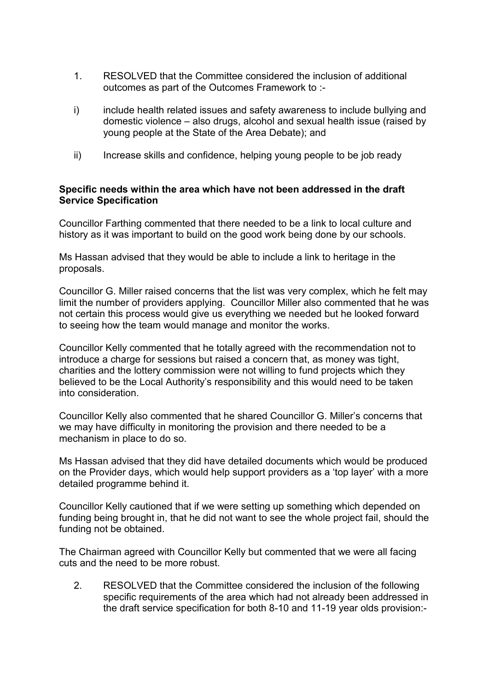- 1. RESOLVED that the Committee considered the inclusion of additional outcomes as part of the Outcomes Framework to :-
- i) include health related issues and safety awareness to include bullying and domestic violence – also drugs, alcohol and sexual health issue (raised by young people at the State of the Area Debate); and
- ii) Increase skills and confidence, helping young people to be job ready

## **Specific needs within the area which have not been addressed in the draft Service Specification**

Councillor Farthing commented that there needed to be a link to local culture and history as it was important to build on the good work being done by our schools.

Ms Hassan advised that they would be able to include a link to heritage in the proposals.

Councillor G. Miller raised concerns that the list was very complex, which he felt may limit the number of providers applying. Councillor Miller also commented that he was not certain this process would give us everything we needed but he looked forward to seeing how the team would manage and monitor the works.

Councillor Kelly commented that he totally agreed with the recommendation not to introduce a charge for sessions but raised a concern that, as money was tight, charities and the lottery commission were not willing to fund projects which they believed to be the Local Authority's responsibility and this would need to be taken into consideration.

Councillor Kelly also commented that he shared Councillor G. Miller's concerns that we may have difficulty in monitoring the provision and there needed to be a mechanism in place to do so.

Ms Hassan advised that they did have detailed documents which would be produced on the Provider days, which would help support providers as a 'top layer' with a more detailed programme behind it.

Councillor Kelly cautioned that if we were setting up something which depended on funding being brought in, that he did not want to see the whole project fail, should the funding not be obtained.

The Chairman agreed with Councillor Kelly but commented that we were all facing cuts and the need to be more robust.

2. RESOLVED that the Committee considered the inclusion of the following specific requirements of the area which had not already been addressed in the draft service specification for both 8-10 and 11-19 year olds provision:-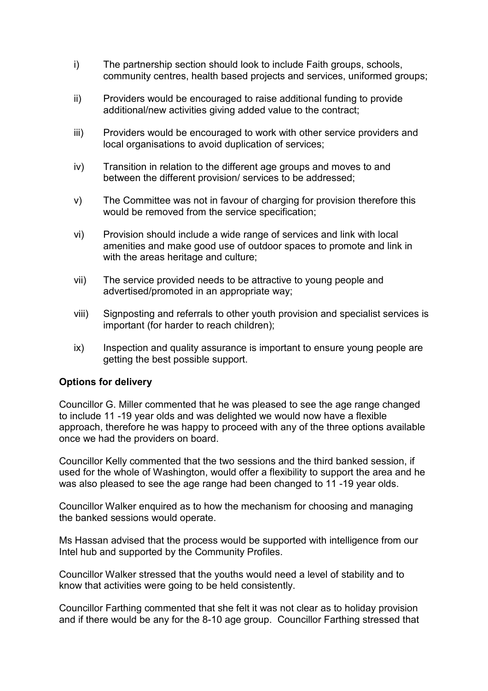- i) The partnership section should look to include Faith groups, schools, community centres, health based projects and services, uniformed groups;
- ii) Providers would be encouraged to raise additional funding to provide additional/new activities giving added value to the contract;
- iii) Providers would be encouraged to work with other service providers and local organisations to avoid duplication of services;
- iv) Transition in relation to the different age groups and moves to and between the different provision/ services to be addressed;
- v) The Committee was not in favour of charging for provision therefore this would be removed from the service specification;
- vi) Provision should include a wide range of services and link with local amenities and make good use of outdoor spaces to promote and link in with the areas heritage and culture;
- vii) The service provided needs to be attractive to young people and advertised/promoted in an appropriate way;
- viii) Signposting and referrals to other youth provision and specialist services is important (for harder to reach children);
- ix) Inspection and quality assurance is important to ensure young people are getting the best possible support.

## **Options for delivery**

Councillor G. Miller commented that he was pleased to see the age range changed to include 11 -19 year olds and was delighted we would now have a flexible approach, therefore he was happy to proceed with any of the three options available once we had the providers on board.

Councillor Kelly commented that the two sessions and the third banked session, if used for the whole of Washington, would offer a flexibility to support the area and he was also pleased to see the age range had been changed to 11 -19 year olds.

Councillor Walker enquired as to how the mechanism for choosing and managing the banked sessions would operate.

Ms Hassan advised that the process would be supported with intelligence from our Intel hub and supported by the Community Profiles.

Councillor Walker stressed that the youths would need a level of stability and to know that activities were going to be held consistently.

Councillor Farthing commented that she felt it was not clear as to holiday provision and if there would be any for the 8-10 age group. Councillor Farthing stressed that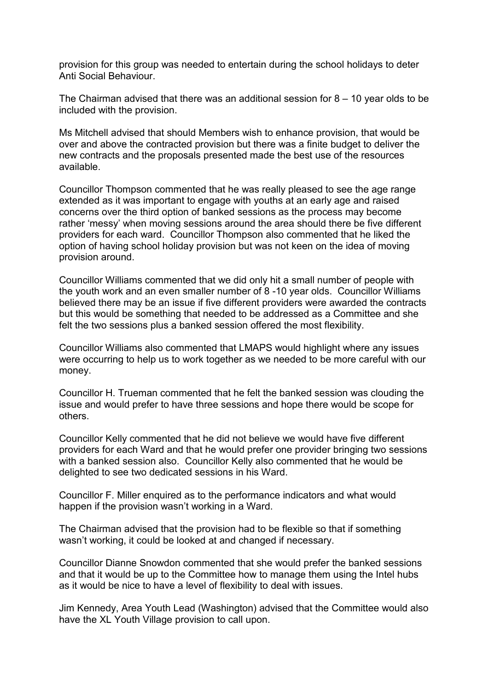provision for this group was needed to entertain during the school holidays to deter Anti Social Behaviour.

The Chairman advised that there was an additional session for 8 – 10 year olds to be included with the provision.

Ms Mitchell advised that should Members wish to enhance provision, that would be over and above the contracted provision but there was a finite budget to deliver the new contracts and the proposals presented made the best use of the resources available.

Councillor Thompson commented that he was really pleased to see the age range extended as it was important to engage with youths at an early age and raised concerns over the third option of banked sessions as the process may become rather 'messy' when moving sessions around the area should there be five different providers for each ward. Councillor Thompson also commented that he liked the option of having school holiday provision but was not keen on the idea of moving provision around.

Councillor Williams commented that we did only hit a small number of people with the youth work and an even smaller number of 8 -10 year olds. Councillor Williams believed there may be an issue if five different providers were awarded the contracts but this would be something that needed to be addressed as a Committee and she felt the two sessions plus a banked session offered the most flexibility.

Councillor Williams also commented that LMAPS would highlight where any issues were occurring to help us to work together as we needed to be more careful with our money.

Councillor H. Trueman commented that he felt the banked session was clouding the issue and would prefer to have three sessions and hope there would be scope for others.

Councillor Kelly commented that he did not believe we would have five different providers for each Ward and that he would prefer one provider bringing two sessions with a banked session also. Councillor Kelly also commented that he would be delighted to see two dedicated sessions in his Ward.

Councillor F. Miller enquired as to the performance indicators and what would happen if the provision wasn't working in a Ward.

The Chairman advised that the provision had to be flexible so that if something wasn't working, it could be looked at and changed if necessary.

Councillor Dianne Snowdon commented that she would prefer the banked sessions and that it would be up to the Committee how to manage them using the Intel hubs as it would be nice to have a level of flexibility to deal with issues.

Jim Kennedy, Area Youth Lead (Washington) advised that the Committee would also have the XL Youth Village provision to call upon.